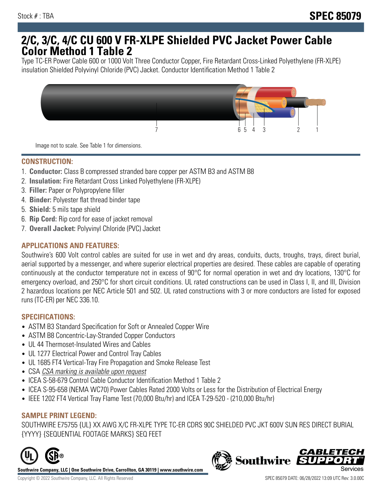# **2/C, 3/C, 4/C CU 600 V FR-XLPE Shielded PVC Jacket Power Cable Color Method 1 Table 2**

Type TC-ER Power Cable 600 or 1000 Volt Three Conductor Copper, Fire Retardant Cross-Linked Polyethylene (FR-XLPE) insulation Shielded Polyvinyl Chloride (PVC) Jacket. Conductor Identification Method 1 Table 2



Image not to scale. See Table 1 for dimensions.

## **CONSTRUCTION:**

- 1. **Conductor:** Class B compressed stranded bare copper per ASTM B3 and ASTM B8
- 2. **Insulation:** Fire Retardant Cross Linked Polyethylene (FR-XLPE)
- 3. **Filler:** Paper or Polypropylene filler
- 4. **Binder:** Polyester flat thread binder tape
- 5. **Shield:** 5 mils tape shield
- 6. **Rip Cord:** Rip cord for ease of jacket removal
- 7. **Overall Jacket:** Polyvinyl Chloride (PVC) Jacket

### **APPLICATIONS AND FEATURES:**

Southwire's 600 Volt control cables are suited for use in wet and dry areas, conduits, ducts, troughs, trays, direct burial, aerial supported by a messenger, and where superior electrical properties are desired. These cables are capable of operating continuously at the conductor temperature not in excess of 90°C for normal operation in wet and dry locations, 130°C for emergency overload, and 250°C for short circuit conditions. UL rated constructions can be used in Class I, II, and III, Division 2 hazardous locations per NEC Article 501 and 502. UL rated constructions with 3 or more conductors are listed for exposed runs (TC-ER) per NEC 336.10.

#### **SPECIFICATIONS:**

- ASTM B3 Standard Specification for Soft or Annealed Copper Wire
- ASTM B8 Concentric-Lay-Stranded Copper Conductors
- UL 44 Thermoset-Insulated Wires and Cables
- UL 1277 Electrical Power and Control Tray Cables
- UL 1685 FT4 Vertical-Tray Fire Propagation and Smoke Release Test
- CSA CSA marking is available upon request
- ICEA S-58-679 Control Cable Conductor Identification Method 1 Table 2
- ICEA S-95-658 (NEMA WC70) Power Cables Rated 2000 Volts or Less for the Distribution of Electrical Energy
- IEEE 1202 FT4 Vertical Tray Flame Test (70,000 Btu/hr) and ICEA T-29-520 (210,000 Btu/hr)

#### **SAMPLE PRINT LEGEND:**

SOUTHWIRE E75755 {UL} XX AWG X/C FR-XLPE TYPE TC-ER CDRS 90C SHIELDED PVC JKT 600V SUN RES DIRECT BURIAL {YYYY} {SEQUENTIAL FOOTAGE MARKS} SEQ FEET



**Southwire Company, LLC | One Southwire Drive, Carrollton, GA 30119 | www.southwire.com**